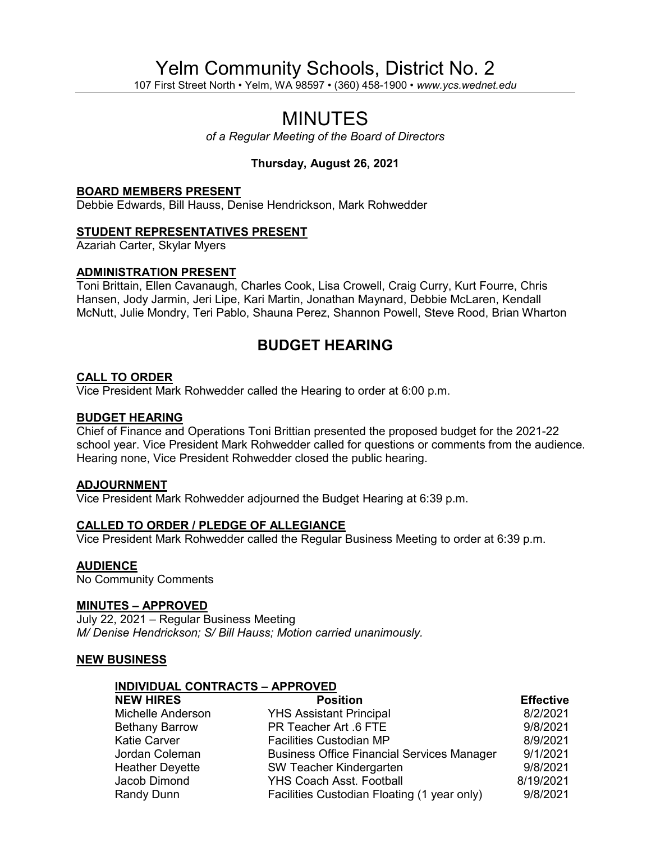# Yelm Community Schools, District No. 2

107 First Street North • Yelm, WA 98597 • (360) 458-1900 • *www.ycs.wednet.edu*

## MINUTES

*of a Regular Meeting of the Board of Directors*

### **Thursday, August 26, 2021**

#### **BOARD MEMBERS PRESENT**

Debbie Edwards, Bill Hauss, Denise Hendrickson, Mark Rohwedder

#### **STUDENT REPRESENTATIVES PRESENT**

Azariah Carter, Skylar Myers

#### **ADMINISTRATION PRESENT**

Toni Brittain, Ellen Cavanaugh, Charles Cook, Lisa Crowell, Craig Curry, Kurt Fourre, Chris Hansen, Jody Jarmin, Jeri Lipe, Kari Martin, Jonathan Maynard, Debbie McLaren, Kendall McNutt, Julie Mondry, Teri Pablo, Shauna Perez, Shannon Powell, Steve Rood, Brian Wharton

## **BUDGET HEARING**

#### **CALL TO ORDER**

Vice President Mark Rohwedder called the Hearing to order at 6:00 p.m.

#### **BUDGET HEARING**

Chief of Finance and Operations Toni Brittian presented the proposed budget for the 2021-22 school year. Vice President Mark Rohwedder called for questions or comments from the audience. Hearing none, Vice President Rohwedder closed the public hearing.

#### **ADJOURNMENT**

Vice President Mark Rohwedder adjourned the Budget Hearing at 6:39 p.m.

#### **CALLED TO ORDER / PLEDGE OF ALLEGIANCE**

Vice President Mark Rohwedder called the Regular Business Meeting to order at 6:39 p.m.

#### **AUDIENCE**

No Community Comments

#### **MINUTES – APPROVED**

July 22, 2021 – Regular Business Meeting *M/ Denise Hendrickson; S/ Bill Hauss; Motion carried unanimously.*

#### **NEW BUSINESS**

#### **INDIVIDUAL CONTRACTS – APPROVED**

| <b>NEW HIRES</b>         | <b>Position</b>                                   | <b>Effective</b> |
|--------------------------|---------------------------------------------------|------------------|
| <b>Michelle Anderson</b> | <b>YHS Assistant Principal</b>                    | 8/2/2021         |
| <b>Bethany Barrow</b>    | PR Teacher Art .6 FTE                             | 9/8/2021         |
| <b>Katie Carver</b>      | <b>Facilities Custodian MP</b>                    | 8/9/2021         |
| Jordan Coleman           | <b>Business Office Financial Services Manager</b> | 9/1/2021         |
| <b>Heather Deyette</b>   | <b>SW Teacher Kindergarten</b>                    | 9/8/2021         |
| Jacob Dimond             | <b>YHS Coach Asst. Football</b>                   | 8/19/2021        |
| Randy Dunn               | Facilities Custodian Floating (1 year only)       | 9/8/2021         |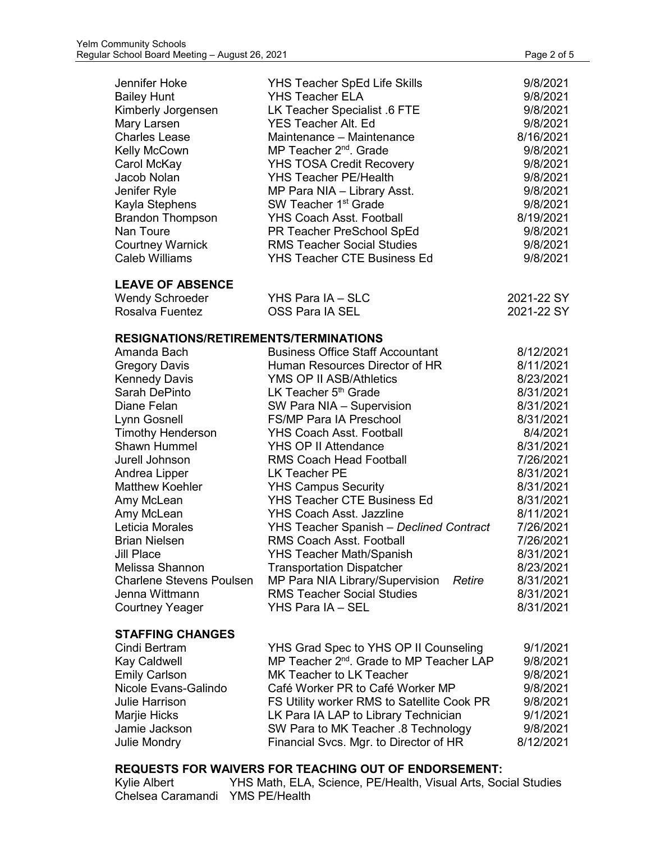| Jennifer Hoke<br><b>Bailey Hunt</b><br>Kimberly Jorgensen<br>Mary Larsen<br><b>Charles Lease</b><br>Kelly McCown<br>Carol McKay<br>Jacob Nolan<br>Jenifer Ryle<br>Kayla Stephens<br><b>Brandon Thompson</b><br>Nan Toure<br><b>Courtney Warnick</b><br><b>Caleb Williams</b> | <b>YHS Teacher SpEd Life Skills</b><br><b>YHS Teacher ELA</b><br>LK Teacher Specialist .6 FTE<br><b>YES Teacher Alt. Ed</b><br>Maintenance - Maintenance<br>MP Teacher 2 <sup>nd</sup> . Grade<br><b>YHS TOSA Credit Recovery</b><br><b>YHS Teacher PE/Health</b><br>MP Para NIA - Library Asst.<br>SW Teacher 1 <sup>st</sup> Grade<br><b>YHS Coach Asst. Football</b><br>PR Teacher PreSchool SpEd<br><b>RMS Teacher Social Studies</b><br><b>YHS Teacher CTE Business Ed</b> | 9/8/2021<br>9/8/2021<br>9/8/2021<br>9/8/2021<br>8/16/2021<br>9/8/2021<br>9/8/2021<br>9/8/2021<br>9/8/2021<br>9/8/2021<br>8/19/2021<br>9/8/2021<br>9/8/2021<br>9/8/2021 |
|------------------------------------------------------------------------------------------------------------------------------------------------------------------------------------------------------------------------------------------------------------------------------|---------------------------------------------------------------------------------------------------------------------------------------------------------------------------------------------------------------------------------------------------------------------------------------------------------------------------------------------------------------------------------------------------------------------------------------------------------------------------------|------------------------------------------------------------------------------------------------------------------------------------------------------------------------|
| <b>LEAVE OF ABSENCE</b>                                                                                                                                                                                                                                                      |                                                                                                                                                                                                                                                                                                                                                                                                                                                                                 |                                                                                                                                                                        |
| <b>Wendy Schroeder</b>                                                                                                                                                                                                                                                       | YHS Para IA - SLC                                                                                                                                                                                                                                                                                                                                                                                                                                                               | 2021-22 SY                                                                                                                                                             |
| Rosalva Fuentez                                                                                                                                                                                                                                                              | <b>OSS Para IA SEL</b>                                                                                                                                                                                                                                                                                                                                                                                                                                                          | 2021-22 SY                                                                                                                                                             |
| <b>RESIGNATIONS/RETIREMENTS/TERMINATIONS</b>                                                                                                                                                                                                                                 |                                                                                                                                                                                                                                                                                                                                                                                                                                                                                 |                                                                                                                                                                        |
| Amanda Bach                                                                                                                                                                                                                                                                  | <b>Business Office Staff Accountant</b>                                                                                                                                                                                                                                                                                                                                                                                                                                         | 8/12/2021                                                                                                                                                              |
|                                                                                                                                                                                                                                                                              | Human Resources Director of HR                                                                                                                                                                                                                                                                                                                                                                                                                                                  | 8/11/2021                                                                                                                                                              |
| <b>Gregory Davis</b>                                                                                                                                                                                                                                                         | YMS OP II ASB/Athletics                                                                                                                                                                                                                                                                                                                                                                                                                                                         |                                                                                                                                                                        |
| <b>Kennedy Davis</b><br>Sarah DePinto                                                                                                                                                                                                                                        | LK Teacher 5th Grade                                                                                                                                                                                                                                                                                                                                                                                                                                                            | 8/23/2021                                                                                                                                                              |
|                                                                                                                                                                                                                                                                              |                                                                                                                                                                                                                                                                                                                                                                                                                                                                                 | 8/31/2021<br>8/31/2021                                                                                                                                                 |
| Diane Felan                                                                                                                                                                                                                                                                  | SW Para NIA - Supervision<br><b>FS/MP Para IA Preschool</b>                                                                                                                                                                                                                                                                                                                                                                                                                     |                                                                                                                                                                        |
| Lynn Gosnell                                                                                                                                                                                                                                                                 |                                                                                                                                                                                                                                                                                                                                                                                                                                                                                 | 8/31/2021                                                                                                                                                              |
| <b>Timothy Henderson</b><br><b>Shawn Hummel</b>                                                                                                                                                                                                                              | <b>YHS Coach Asst. Football</b>                                                                                                                                                                                                                                                                                                                                                                                                                                                 | 8/4/2021                                                                                                                                                               |
|                                                                                                                                                                                                                                                                              | <b>YHS OP II Attendance</b>                                                                                                                                                                                                                                                                                                                                                                                                                                                     | 8/31/2021                                                                                                                                                              |
| Jurell Johnson                                                                                                                                                                                                                                                               | <b>RMS Coach Head Football</b>                                                                                                                                                                                                                                                                                                                                                                                                                                                  | 7/26/2021                                                                                                                                                              |
| Andrea Lipper                                                                                                                                                                                                                                                                | <b>LK Teacher PE</b>                                                                                                                                                                                                                                                                                                                                                                                                                                                            | 8/31/2021                                                                                                                                                              |
| <b>Matthew Koehler</b>                                                                                                                                                                                                                                                       | <b>YHS Campus Security</b>                                                                                                                                                                                                                                                                                                                                                                                                                                                      | 8/31/2021                                                                                                                                                              |
| Amy McLean                                                                                                                                                                                                                                                                   | <b>YHS Teacher CTE Business Ed</b>                                                                                                                                                                                                                                                                                                                                                                                                                                              | 8/31/2021                                                                                                                                                              |
| Amy McLean                                                                                                                                                                                                                                                                   | <b>YHS Coach Asst. Jazzline</b>                                                                                                                                                                                                                                                                                                                                                                                                                                                 | 8/11/2021                                                                                                                                                              |
| Leticia Morales                                                                                                                                                                                                                                                              | YHS Teacher Spanish - Declined Contract                                                                                                                                                                                                                                                                                                                                                                                                                                         | 7/26/2021                                                                                                                                                              |
| <b>Brian Nielsen</b>                                                                                                                                                                                                                                                         | <b>RMS Coach Asst. Football</b>                                                                                                                                                                                                                                                                                                                                                                                                                                                 | 7/26/2021                                                                                                                                                              |
| <b>Jill Place</b>                                                                                                                                                                                                                                                            | <b>YHS Teacher Math/Spanish</b>                                                                                                                                                                                                                                                                                                                                                                                                                                                 | 8/31/2021                                                                                                                                                              |
| Melissa Shannon                                                                                                                                                                                                                                                              | <b>Transportation Dispatcher</b>                                                                                                                                                                                                                                                                                                                                                                                                                                                | 8/23/2021                                                                                                                                                              |
| <b>Charlene Stevens Poulsen</b>                                                                                                                                                                                                                                              | MP Para NIA Library/Supervision<br>Retire                                                                                                                                                                                                                                                                                                                                                                                                                                       | 8/31/2021                                                                                                                                                              |
| Jenna Wittmann                                                                                                                                                                                                                                                               | <b>RMS Teacher Social Studies</b>                                                                                                                                                                                                                                                                                                                                                                                                                                               | 8/31/2021                                                                                                                                                              |
| <b>Courtney Yeager</b>                                                                                                                                                                                                                                                       | YHS Para IA - SEL                                                                                                                                                                                                                                                                                                                                                                                                                                                               | 8/31/2021                                                                                                                                                              |
| <b>STAFFING CHANGES</b>                                                                                                                                                                                                                                                      |                                                                                                                                                                                                                                                                                                                                                                                                                                                                                 |                                                                                                                                                                        |
| Cindi Bertram                                                                                                                                                                                                                                                                | YHS Grad Spec to YHS OP II Counseling                                                                                                                                                                                                                                                                                                                                                                                                                                           | 9/1/2021                                                                                                                                                               |
| <b>Kay Caldwell</b>                                                                                                                                                                                                                                                          | MP Teacher 2 <sup>nd</sup> . Grade to MP Teacher LAP                                                                                                                                                                                                                                                                                                                                                                                                                            | 9/8/2021                                                                                                                                                               |
| <b>Emily Carlson</b>                                                                                                                                                                                                                                                         | MK Teacher to LK Teacher                                                                                                                                                                                                                                                                                                                                                                                                                                                        | 9/8/2021                                                                                                                                                               |
| Nicole Evans-Galindo                                                                                                                                                                                                                                                         | Café Worker PR to Café Worker MP                                                                                                                                                                                                                                                                                                                                                                                                                                                | 9/8/2021                                                                                                                                                               |
| <b>Julie Harrison</b>                                                                                                                                                                                                                                                        | FS Utility worker RMS to Satellite Cook PR                                                                                                                                                                                                                                                                                                                                                                                                                                      | 9/8/2021                                                                                                                                                               |
| Marjie Hicks                                                                                                                                                                                                                                                                 | LK Para IA LAP to Library Technician                                                                                                                                                                                                                                                                                                                                                                                                                                            | 9/1/2021                                                                                                                                                               |
| Jamie Jackson                                                                                                                                                                                                                                                                | SW Para to MK Teacher .8 Technology                                                                                                                                                                                                                                                                                                                                                                                                                                             | 9/8/2021                                                                                                                                                               |
| <b>Julie Mondry</b>                                                                                                                                                                                                                                                          | Financial Svcs. Mgr. to Director of HR                                                                                                                                                                                                                                                                                                                                                                                                                                          | 8/12/2021                                                                                                                                                              |

**REQUESTS FOR WAIVERS FOR TEACHING OUT OF ENDORSEMENT:**<br>Kylie Albert YHS Math, ELA, Science, PE/Health, Visual Arts, Soc YHS Math, ELA, Science, PE/Health, Visual Arts, Social Studies Chelsea Caramandi YMS PE/Health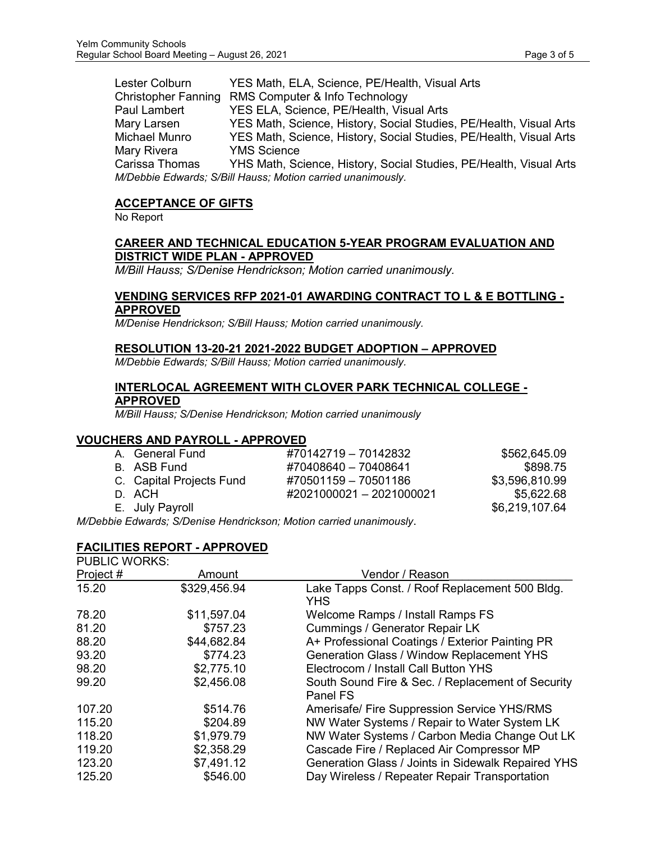| Lester Colburn                                              | YES Math, ELA, Science, PE/Health, Visual Arts                     |  |
|-------------------------------------------------------------|--------------------------------------------------------------------|--|
|                                                             | Christopher Fanning RMS Computer & Info Technology                 |  |
| Paul Lambert                                                | YES ELA, Science, PE/Health, Visual Arts                           |  |
| Mary Larsen                                                 | YES Math, Science, History, Social Studies, PE/Health, Visual Arts |  |
| Michael Munro                                               | YES Math, Science, History, Social Studies, PE/Health, Visual Arts |  |
| Mary Rivera                                                 | <b>YMS Science</b>                                                 |  |
| Carissa Thomas                                              | YHS Math, Science, History, Social Studies, PE/Health, Visual Arts |  |
| M/Debbie Edwards; S/Bill Hauss; Motion carried unanimously. |                                                                    |  |

#### **ACCEPTANCE OF GIFTS**

No Report

#### **CAREER AND TECHNICAL EDUCATION 5-YEAR PROGRAM EVALUATION AND DISTRICT WIDE PLAN - APPROVED**

*M/Bill Hauss; S/Denise Hendrickson; Motion carried unanimously.*

#### **VENDING SERVICES RFP 2021-01 AWARDING CONTRACT TO L & E BOTTLING - APPROVED**

*M/Denise Hendrickson; S/Bill Hauss; Motion carried unanimously.*

#### **RESOLUTION 13-20-21 2021-2022 BUDGET ADOPTION – APPROVED**

*M/Debbie Edwards; S/Bill Hauss; Motion carried unanimously.*

#### **INTERLOCAL AGREEMENT WITH CLOVER PARK TECHNICAL COLLEGE - APPROVED**

*M/Bill Hauss; S/Denise Hendrickson; Motion carried unanimously*

#### **VOUCHERS AND PAYROLL - APPROVED**

| A. General Fund          | #70142719 - 70142832                                                        | \$562,645.09   |
|--------------------------|-----------------------------------------------------------------------------|----------------|
| B. ASB Fund              | #70408640 - 70408641                                                        | \$898.75       |
| C. Capital Projects Fund | #70501159 - 70501186                                                        | \$3,596,810.99 |
| D. ACH                   | #2021000021 - 2021000021                                                    | \$5,622.68     |
| E. July Payroll          |                                                                             | \$6,219,107.64 |
|                          | skia Eskonanda : O /D antaŭ Hanaduialoa en Matian a anuta du na aŭsas os ko |                |

*M/Debbie Edwards; S/Denise Hendrickson; Motion carried unanimously*.

#### **FACILITIES REPORT - APPROVED** PUBLIC WORKS:

| . טרוט זיכרא |                                                               |
|--------------|---------------------------------------------------------------|
| Amount       | Vendor / Reason                                               |
| \$329,456.94 | Lake Tapps Const. / Roof Replacement 500 Bldg.<br><b>YHS</b>  |
| \$11,597.04  | Welcome Ramps / Install Ramps FS                              |
| \$757.23     | <b>Cummings / Generator Repair LK</b>                         |
| \$44,682.84  | A+ Professional Coatings / Exterior Painting PR               |
| \$774.23     | <b>Generation Glass / Window Replacement YHS</b>              |
| \$2,775.10   | Electrocom / Install Call Button YHS                          |
| \$2,456.08   | South Sound Fire & Sec. / Replacement of Security<br>Panel FS |
| \$514.76     | <b>Amerisafe/ Fire Suppression Service YHS/RMS</b>            |
| \$204.89     | NW Water Systems / Repair to Water System LK                  |
| \$1,979.79   | NW Water Systems / Carbon Media Change Out LK                 |
| \$2,358.29   | Cascade Fire / Replaced Air Compressor MP                     |
| \$7,491.12   | Generation Glass / Joints in Sidewalk Repaired YHS            |
| \$546.00     | Day Wireless / Repeater Repair Transportation                 |
|              |                                                               |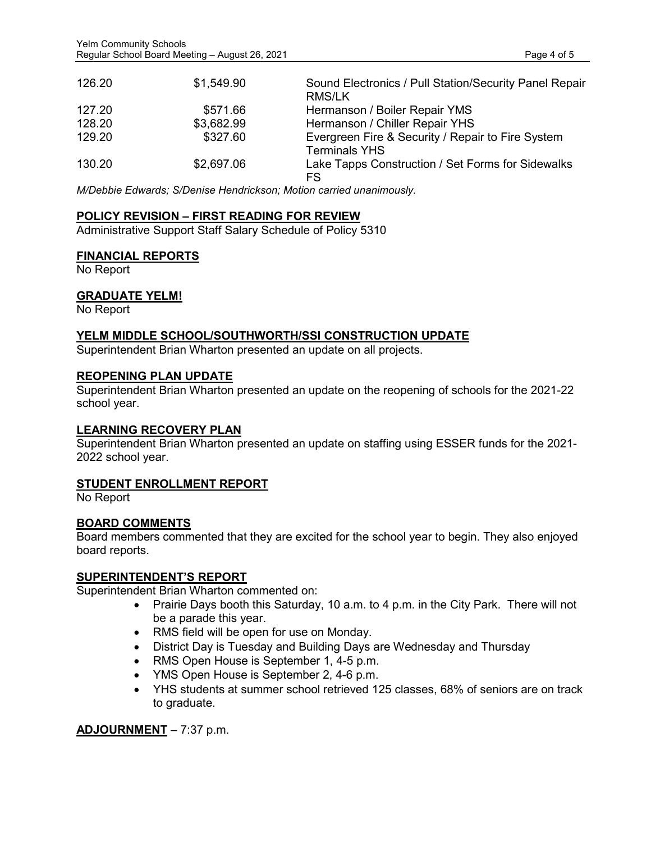| 126.20 | \$1,549.90 | Sound Electronics / Pull Station/Security Panel Repair<br>RMS/LK          |
|--------|------------|---------------------------------------------------------------------------|
| 127.20 | \$571.66   | Hermanson / Boiler Repair YMS                                             |
| 128.20 | \$3,682.99 | Hermanson / Chiller Repair YHS                                            |
| 129.20 | \$327.60   | Evergreen Fire & Security / Repair to Fire System<br><b>Terminals YHS</b> |
| 130.20 | \$2,697.06 | Lake Tapps Construction / Set Forms for Sidewalks<br>FS                   |

*M/Debbie Edwards; S/Denise Hendrickson; Motion carried unanimously.*

#### **POLICY REVISION – FIRST READING FOR REVIEW**

Administrative Support Staff Salary Schedule of Policy 5310

#### **FINANCIAL REPORTS**

No Report

#### **GRADUATE YELM!**

No Report

#### **YELM MIDDLE SCHOOL/SOUTHWORTH/SSI CONSTRUCTION UPDATE**

Superintendent Brian Wharton presented an update on all projects.

#### **REOPENING PLAN UPDATE**

Superintendent Brian Wharton presented an update on the reopening of schools for the 2021-22 school year.

#### **LEARNING RECOVERY PLAN**

Superintendent Brian Wharton presented an update on staffing using ESSER funds for the 2021- 2022 school year.

#### **STUDENT ENROLLMENT REPORT**

No Report

#### **BOARD COMMENTS**

Board members commented that they are excited for the school year to begin. They also enjoyed board reports.

#### **SUPERINTENDENT'S REPORT**

Superintendent Brian Wharton commented on:

- Prairie Days booth this Saturday, 10 a.m. to 4 p.m. in the City Park. There will not be a parade this year.
- RMS field will be open for use on Monday.
- District Day is Tuesday and Building Days are Wednesday and Thursday
- RMS Open House is September 1, 4-5 p.m.
- YMS Open House is September 2, 4-6 p.m.
- YHS students at summer school retrieved 125 classes, 68% of seniors are on track to graduate.

**ADJOURNMENT** – 7:37 p.m.